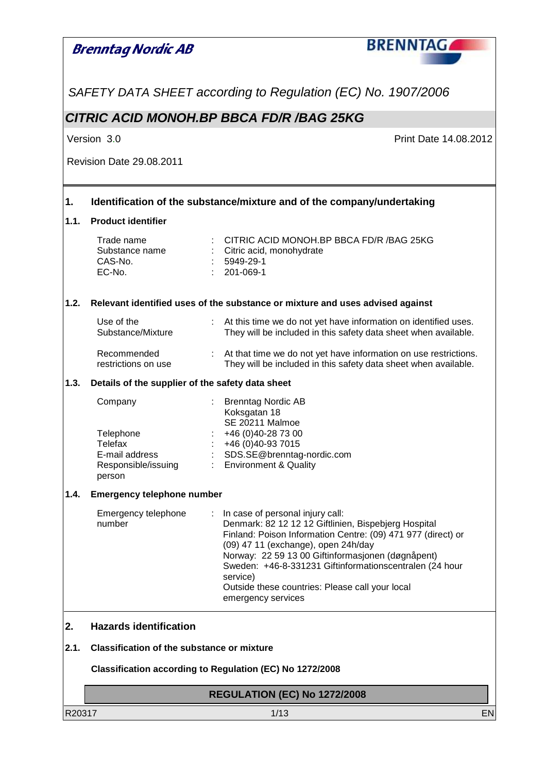#### **BRENNTAG Brenntag Nordic AB** SAFETY DATA SHEET according to Regulation (EC) No. 1907/2006 **CITRIC ACID MONOH.BP BBCA FD/R /BAG 25KG** Version 3.0 Print Date 14.08.2012 Revision Date 29.08.2011 **1. Identification of the substance/mixture and of the company/undertaking 1.1. Product identifier**  Trade name : CITRIC ACID MONOH.BP BBCA FD/R /BAG 25KG<br>Substance name : Citric acid, monohydrate : Citric acid, monohydrate<br>: 5949-29-1  $CAS-N<sub>0</sub>$ . EC-No. : 201-069-1 **1.2. Relevant identified uses of the substance or mixture and uses advised against**  : At this time we do not yet have information on identified uses. Use of the Substance/Mixture They will be included in this safety data sheet when available. Recommended : At that time we do not yet have information on use restrictions. They will be included in this safety data sheet when available. restrictions on use **1.3. Details of the supplier of the safety data sheet**  Company : Brenntag Nordic AB Koksgatan 18 SE 20211 Malmoe Telephone : +46 (0)40-28 73 00 Telefax : +46 (0)40-93 7015 E-mail address : SDS.SE@brenntag-nordic.com Responsible/issuing : Environment & Quality person **1.4. Emergency telephone number**  Emergency telephone : In case of personal injury call: Denmark: 82 12 12 12 Giftlinien, Bispebjerg Hospital number Finland: Poison Information Centre: (09) 471 977 (direct) or (09) 47 11 (exchange), open 24h/day Norway: 22 59 13 00 Giftinformasjonen (døgnåpent) Sweden: +46-8-331231 Giftinformationscentralen (24 hour service) Outside these countries: Please call your local emergency services **2. Hazards identification 2.1. Classification of the substance or mixture Classification according to Regulation (EC) No 1272/2008 REGULATION (EC) No 1272/2008** R20317 1/13 EN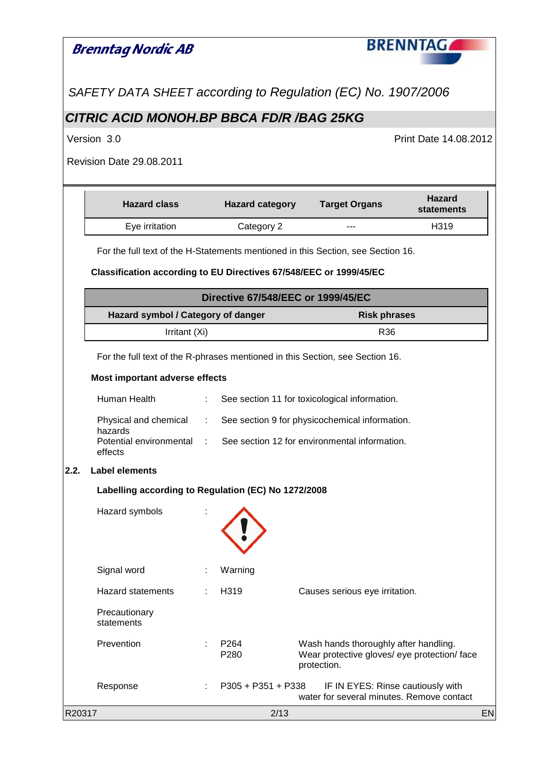|        | <b>Brenntag Nordic AB</b>                                                                      |   |                                           |  |                                                                                                      | <b>BRENNTAG</b>             |           |
|--------|------------------------------------------------------------------------------------------------|---|-------------------------------------------|--|------------------------------------------------------------------------------------------------------|-----------------------------|-----------|
|        | SAFETY DATA SHEET according to Regulation (EC) No. 1907/2006                                   |   |                                           |  |                                                                                                      |                             |           |
|        | CITRIC ACID MONOH.BP BBCA FD/R /BAG 25KG                                                       |   |                                           |  |                                                                                                      |                             |           |
|        | Version 3.0                                                                                    |   |                                           |  |                                                                                                      | Print Date 14.08.2012       |           |
|        | <b>Revision Date 29.08.2011</b>                                                                |   |                                           |  |                                                                                                      |                             |           |
|        | <b>Hazard class</b>                                                                            |   | <b>Hazard category</b>                    |  | <b>Target Organs</b>                                                                                 | <b>Hazard</b><br>statements |           |
|        | Eye irritation                                                                                 |   | Category 2                                |  |                                                                                                      | H319                        |           |
|        | For the full text of the H-Statements mentioned in this Section, see Section 16.               |   |                                           |  |                                                                                                      |                             |           |
|        | Classification according to EU Directives 67/548/EEC or 1999/45/EC                             |   |                                           |  |                                                                                                      |                             |           |
|        |                                                                                                |   | <b>Directive 67/548/EEC or 1999/45/EC</b> |  |                                                                                                      |                             |           |
|        | Hazard symbol / Category of danger                                                             |   |                                           |  | <b>Risk phrases</b>                                                                                  |                             |           |
|        | Irritant (Xi)                                                                                  |   |                                           |  | R36                                                                                                  |                             |           |
|        | For the full text of the R-phrases mentioned in this Section, see Section 16.                  |   |                                           |  |                                                                                                      |                             |           |
|        | Most important adverse effects                                                                 |   |                                           |  |                                                                                                      |                             |           |
|        | Human Health                                                                                   | ÷ |                                           |  | See section 11 for toxicological information.                                                        |                             |           |
|        | Physical and chemical :<br>See section 9 for physicochemical information.                      |   |                                           |  |                                                                                                      |                             |           |
|        | hazards<br>See section 12 for environmental information.<br>Potential environmental<br>effects |   |                                           |  |                                                                                                      |                             |           |
| 2.2.   | <b>Label elements</b>                                                                          |   |                                           |  |                                                                                                      |                             |           |
|        | Labelling according to Regulation (EC) No 1272/2008                                            |   |                                           |  |                                                                                                      |                             |           |
|        | Hazard symbols                                                                                 |   |                                           |  |                                                                                                      |                             |           |
|        | Signal word                                                                                    |   | Warning                                   |  |                                                                                                      |                             |           |
|        | <b>Hazard statements</b>                                                                       |   | H319                                      |  | Causes serious eye irritation.                                                                       |                             |           |
|        | Precautionary<br>statements                                                                    |   |                                           |  |                                                                                                      |                             |           |
|        | Prevention                                                                                     |   | P <sub>264</sub><br>P280                  |  | Wash hands thoroughly after handling.<br>Wear protective gloves/ eye protection/ face<br>protection. |                             |           |
|        | Response                                                                                       |   | $P305 + P351 + P338$                      |  | IF IN EYES: Rinse cautiously with<br>water for several minutes. Remove contact                       |                             |           |
| R20317 |                                                                                                |   | 2/13                                      |  |                                                                                                      |                             | <b>EN</b> |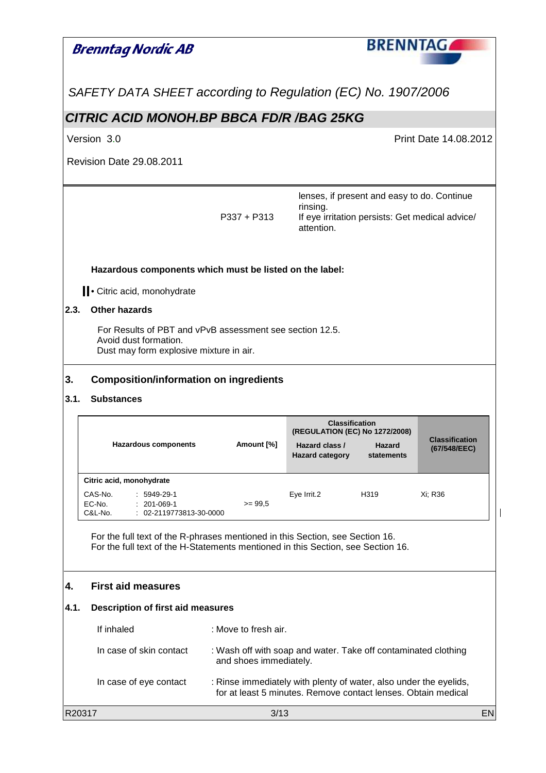| Brenntag Nordic AB                                       |                                                                                                                                                                   |                        |                                                                                                                                    | <b>BRENNTAG</b>             |                                                 |
|----------------------------------------------------------|-------------------------------------------------------------------------------------------------------------------------------------------------------------------|------------------------|------------------------------------------------------------------------------------------------------------------------------------|-----------------------------|-------------------------------------------------|
|                                                          | SAFETY DATA SHEET according to Regulation (EC) No. 1907/2006                                                                                                      |                        |                                                                                                                                    |                             |                                                 |
| <b>CITRIC ACID MONOH.BP BBCA FD/R /BAG 25KG</b>          |                                                                                                                                                                   |                        |                                                                                                                                    |                             |                                                 |
| Version 3.0                                              |                                                                                                                                                                   |                        |                                                                                                                                    |                             | <b>Print Date 14.08.2012</b>                    |
| <b>Revision Date 29.08.2011</b>                          |                                                                                                                                                                   |                        |                                                                                                                                    |                             |                                                 |
|                                                          |                                                                                                                                                                   | $P337 + P313$          | lenses, if present and easy to do. Continue<br>rinsing.<br>attention.                                                              |                             | If eye irritation persists: Get medical advice/ |
|                                                          | Hazardous components which must be listed on the label:                                                                                                           |                        |                                                                                                                                    |                             |                                                 |
| Citric acid, monohydrate<br><b>Other hazards</b>         |                                                                                                                                                                   |                        |                                                                                                                                    |                             |                                                 |
| Avoid dust formation.<br>3.<br>3.1.<br><b>Substances</b> | For Results of PBT and vPvB assessment see section 12.5.<br>Dust may form explosive mixture in air.<br><b>Composition/information on ingredients</b>              |                        |                                                                                                                                    |                             |                                                 |
|                                                          | <b>Hazardous components</b>                                                                                                                                       | Amount [%]             | <b>Classification</b><br>(REGULATION (EC) No 1272/2008)<br>Hazard class /<br><b>Hazard category</b>                                | <b>Hazard</b><br>statements | <b>Classification</b><br>(67/548/EEC)           |
| Citric acid, monohydrate<br>CAS-No.<br>EC-No.<br>C&L-No. | $: 5949-29-1$<br>$: 201-069-1$<br>: 02-2119773813-30-0000                                                                                                         | $>= 99.5$              | Eye Irrit.2                                                                                                                        | H319                        | Xi; R36                                         |
|                                                          | For the full text of the R-phrases mentioned in this Section, see Section 16.<br>For the full text of the H-Statements mentioned in this Section, see Section 16. |                        |                                                                                                                                    |                             |                                                 |
| <b>First aid measures</b><br>4.                          |                                                                                                                                                                   |                        |                                                                                                                                    |                             |                                                 |
| 4.1.                                                     | Description of first aid measures                                                                                                                                 |                        |                                                                                                                                    |                             |                                                 |
| If inhaled                                               |                                                                                                                                                                   | : Move to fresh air.   |                                                                                                                                    |                             |                                                 |
| In case of skin contact                                  |                                                                                                                                                                   | and shoes immediately. | : Wash off with soap and water. Take off contaminated clothing                                                                     |                             |                                                 |
| In case of eye contact                                   |                                                                                                                                                                   |                        | : Rinse immediately with plenty of water, also under the eyelids,<br>for at least 5 minutes. Remove contact lenses. Obtain medical |                             |                                                 |
| R20317                                                   |                                                                                                                                                                   | 3/13                   |                                                                                                                                    |                             | EN                                              |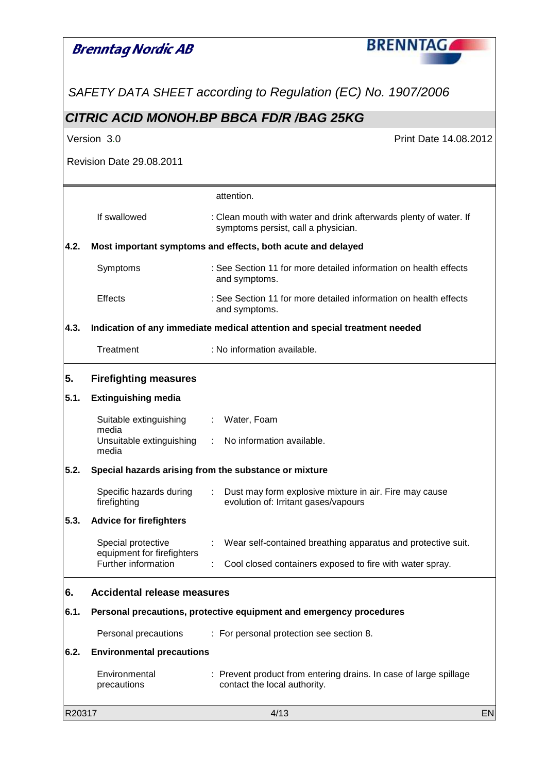|        | Brenntag Nordic AB                                | <b>BRENNTAG</b>                                                                                          |           |
|--------|---------------------------------------------------|----------------------------------------------------------------------------------------------------------|-----------|
|        |                                                   | SAFETY DATA SHEET according to Regulation (EC) No. 1907/2006                                             |           |
|        |                                                   | CITRIC ACID MONOH.BP BBCA FD/R /BAG 25KG                                                                 |           |
|        | Version 3.0                                       | <b>Print Date 14.08.2012</b>                                                                             |           |
|        | <b>Revision Date 29.08.2011</b>                   |                                                                                                          |           |
|        |                                                   | attention.                                                                                               |           |
|        | If swallowed                                      | : Clean mouth with water and drink afterwards plenty of water. If<br>symptoms persist, call a physician. |           |
| 4.2.   |                                                   | Most important symptoms and effects, both acute and delayed                                              |           |
|        | Symptoms                                          | : See Section 11 for more detailed information on health effects<br>and symptoms.                        |           |
|        | <b>Effects</b>                                    | : See Section 11 for more detailed information on health effects<br>and symptoms.                        |           |
| 4.3.   |                                                   | Indication of any immediate medical attention and special treatment needed                               |           |
|        | Treatment                                         | : No information available.                                                                              |           |
| 5.     | <b>Firefighting measures</b>                      |                                                                                                          |           |
| 5.1.   | <b>Extinguishing media</b>                        |                                                                                                          |           |
|        | Suitable extinguishing                            | : Water, Foam                                                                                            |           |
|        | media<br>Unsuitable extinguishing<br>media        | : No information available.                                                                              |           |
| 5.2.   |                                                   | Special hazards arising from the substance or mixture                                                    |           |
|        | Specific hazards during<br>firefighting           | Dust may form explosive mixture in air. Fire may cause<br>evolution of: Irritant gases/vapours           |           |
| 5.3.   | <b>Advice for firefighters</b>                    |                                                                                                          |           |
|        | Special protective                                | Wear self-contained breathing apparatus and protective suit.                                             |           |
|        | equipment for firefighters<br>Further information | Cool closed containers exposed to fire with water spray.                                                 |           |
| 6.     | <b>Accidental release measures</b>                |                                                                                                          |           |
| 6.1.   |                                                   | Personal precautions, protective equipment and emergency procedures                                      |           |
|        | Personal precautions                              | : For personal protection see section 8.                                                                 |           |
| 6.2.   | <b>Environmental precautions</b>                  |                                                                                                          |           |
|        | Environmental<br>precautions                      | : Prevent product from entering drains. In case of large spillage<br>contact the local authority.        |           |
| R20317 |                                                   | 4/13                                                                                                     | <b>EN</b> |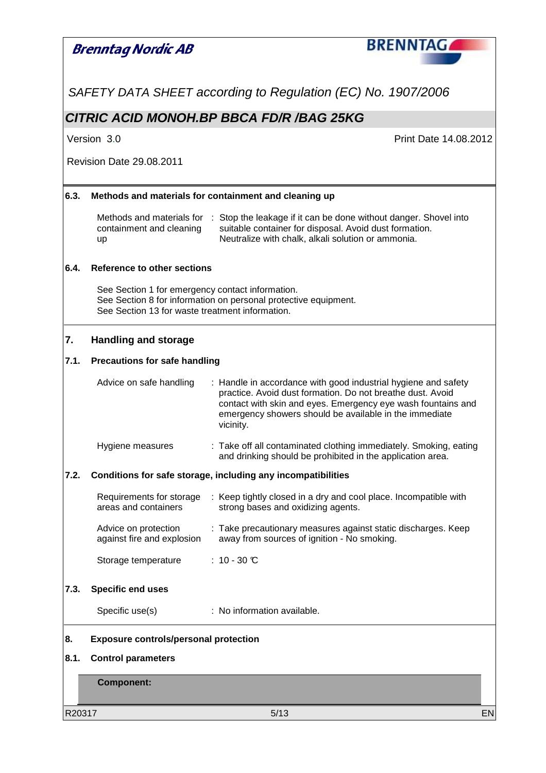|      | <b>Brenntag Nordic AB</b>                                                                           | <b>BRENNTAG</b>                                                                                                                                                                                                                                                     |
|------|-----------------------------------------------------------------------------------------------------|---------------------------------------------------------------------------------------------------------------------------------------------------------------------------------------------------------------------------------------------------------------------|
|      |                                                                                                     |                                                                                                                                                                                                                                                                     |
|      |                                                                                                     | SAFETY DATA SHEET according to Regulation (EC) No. 1907/2006                                                                                                                                                                                                        |
|      |                                                                                                     | CITRIC ACID MONOH.BP BBCA FD/R /BAG 25KG                                                                                                                                                                                                                            |
|      | Version 3.0                                                                                         | Print Date 14.08.2012                                                                                                                                                                                                                                               |
|      | <b>Revision Date 29.08.2011</b>                                                                     |                                                                                                                                                                                                                                                                     |
| 6.3. |                                                                                                     | Methods and materials for containment and cleaning up                                                                                                                                                                                                               |
|      | Methods and materials for<br>containment and cleaning<br>up                                         | : Stop the leakage if it can be done without danger. Shovel into<br>suitable container for disposal. Avoid dust formation.<br>Neutralize with chalk, alkali solution or ammonia.                                                                                    |
| 6.4. | <b>Reference to other sections</b>                                                                  |                                                                                                                                                                                                                                                                     |
|      | See Section 1 for emergency contact information.<br>See Section 13 for waste treatment information. | See Section 8 for information on personal protective equipment.                                                                                                                                                                                                     |
| 7.   | <b>Handling and storage</b>                                                                         |                                                                                                                                                                                                                                                                     |
| 7.1. | <b>Precautions for safe handling</b>                                                                |                                                                                                                                                                                                                                                                     |
|      | Advice on safe handling                                                                             | : Handle in accordance with good industrial hygiene and safety<br>practice. Avoid dust formation. Do not breathe dust. Avoid<br>contact with skin and eyes. Emergency eye wash fountains and<br>emergency showers should be available in the immediate<br>vicinity. |
|      | Hygiene measures                                                                                    | : Take off all contaminated clothing immediately. Smoking, eating<br>and drinking should be prohibited in the application area.                                                                                                                                     |
| 7.2. |                                                                                                     | Conditions for safe storage, including any incompatibilities                                                                                                                                                                                                        |
|      | Requirements for storage<br>areas and containers                                                    | : Keep tightly closed in a dry and cool place. Incompatible with<br>strong bases and oxidizing agents.                                                                                                                                                              |
|      | Advice on protection<br>against fire and explosion                                                  | : Take precautionary measures against static discharges. Keep<br>away from sources of ignition - No smoking.                                                                                                                                                        |
|      | Storage temperature                                                                                 | : $10 - 30$ $C$                                                                                                                                                                                                                                                     |
| 7.3. | <b>Specific end uses</b>                                                                            |                                                                                                                                                                                                                                                                     |
|      | Specific use(s)                                                                                     | : No information available.                                                                                                                                                                                                                                         |
| 8.   | <b>Exposure controls/personal protection</b>                                                        |                                                                                                                                                                                                                                                                     |
| 8.1. | <b>Control parameters</b>                                                                           |                                                                                                                                                                                                                                                                     |
|      | <b>Component:</b>                                                                                   |                                                                                                                                                                                                                                                                     |

R20317 5/13 EN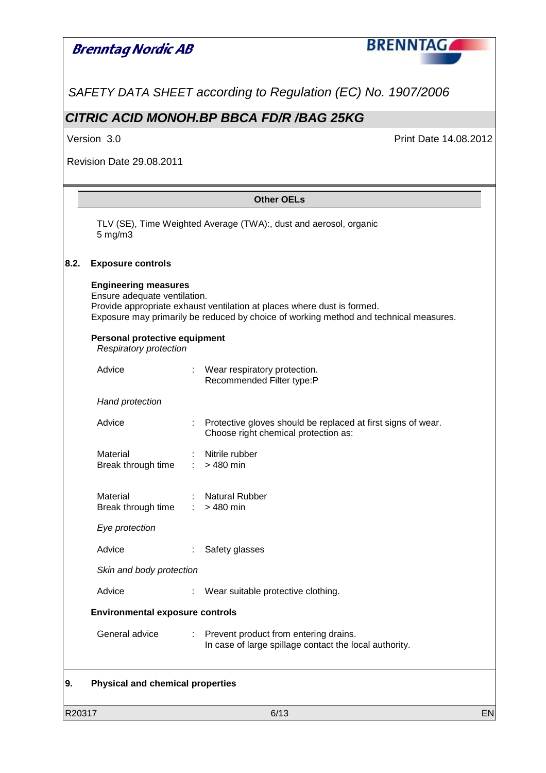# **BRENNTAG Brenntag Nordic AB** SAFETY DATA SHEET according to Regulation (EC) No. 1907/2006 **CITRIC ACID MONOH.BP BBCA FD/R /BAG 25KG** Version 3.0 Print Date 14.08.2012 Revision Date 29.08.2011 **Other OELs**  TLV (SE), Time Weighted Average (TWA):, dust and aerosol, organic 5 mg/m3 **8.2. Exposure controls Engineering measures**  Ensure adequate ventilation. Provide appropriate exhaust ventilation at places where dust is formed. Exposure may primarily be reduced by choice of working method and technical measures. **Personal protective equipment**  Respiratory protection Advice : Wear respiratory protection. Recommended Filter type:P Hand protection Advice : Protective gloves should be replaced at first signs of wear. Choose right chemical protection as: Material : Nitrile rubber Break through time : > 480 min Material : Natural Rubber Break through time  $\therefore$  > 480 min Eye protection Advice : Safety glasses Skin and body protection Advice : Wear suitable protective clothing.  **Environmental exposure controls**  General advice : Prevent product from entering drains. In case of large spillage contact the local authority. **9. Physical and chemical properties**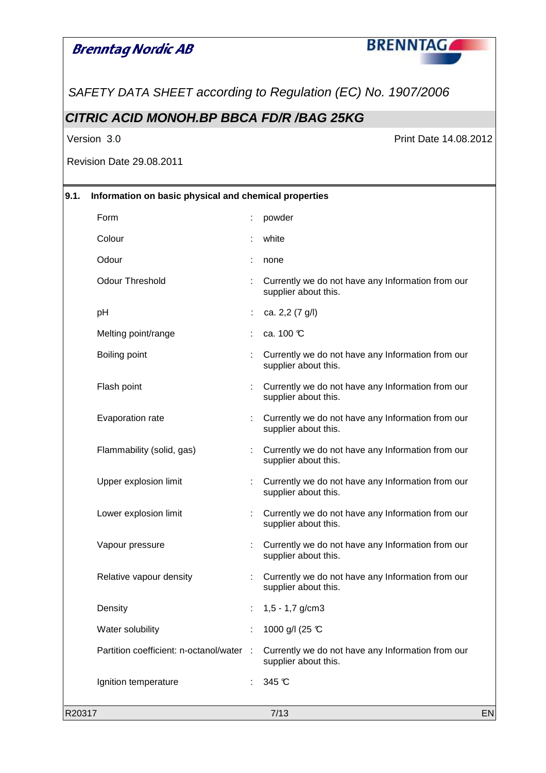## **Brenntag Nordic AB**



SAFETY DATA SHEET according to Regulation (EC) No. 1907/2006

### **CITRIC ACID MONOH.BP BBCA FD/R /BAG 25KG**

Version 3.0 **Print Date 14.08.2012** 

Revision Date 29.08.2011

| 9.1.   | Information on basic physical and chemical properties |     |                                                                           |    |
|--------|-------------------------------------------------------|-----|---------------------------------------------------------------------------|----|
|        | Form                                                  | t   | powder                                                                    |    |
|        | Colour                                                |     | white                                                                     |    |
|        | Odour                                                 |     | none                                                                      |    |
|        | <b>Odour Threshold</b>                                |     | Currently we do not have any Information from our<br>supplier about this. |    |
|        | pH                                                    | ÷   | ca. 2,2 (7 g/l)                                                           |    |
|        | Melting point/range                                   |     | ca. 100 °C                                                                |    |
|        | Boiling point                                         |     | Currently we do not have any Information from our<br>supplier about this. |    |
|        | Flash point                                           |     | Currently we do not have any Information from our<br>supplier about this. |    |
|        | Evaporation rate                                      | t   | Currently we do not have any Information from our<br>supplier about this. |    |
|        | Flammability (solid, gas)                             |     | Currently we do not have any Information from our<br>supplier about this. |    |
|        | Upper explosion limit                                 |     | Currently we do not have any Information from our<br>supplier about this. |    |
|        | Lower explosion limit                                 | t   | Currently we do not have any Information from our<br>supplier about this. |    |
|        | Vapour pressure                                       |     | Currently we do not have any Information from our<br>supplier about this. |    |
|        | Relative vapour density                               |     | Currently we do not have any Information from our<br>supplier about this. |    |
|        | Density                                               |     | $1,5 - 1,7$ g/cm3                                                         |    |
|        | Water solubility                                      |     | 1000 g/l (25 °C                                                           |    |
|        | Partition coefficient: n-octanol/water                | - 1 | Currently we do not have any Information from our<br>supplier about this. |    |
|        | Ignition temperature                                  |     | 345 °C                                                                    |    |
| R20317 |                                                       |     | 7/13                                                                      | EN |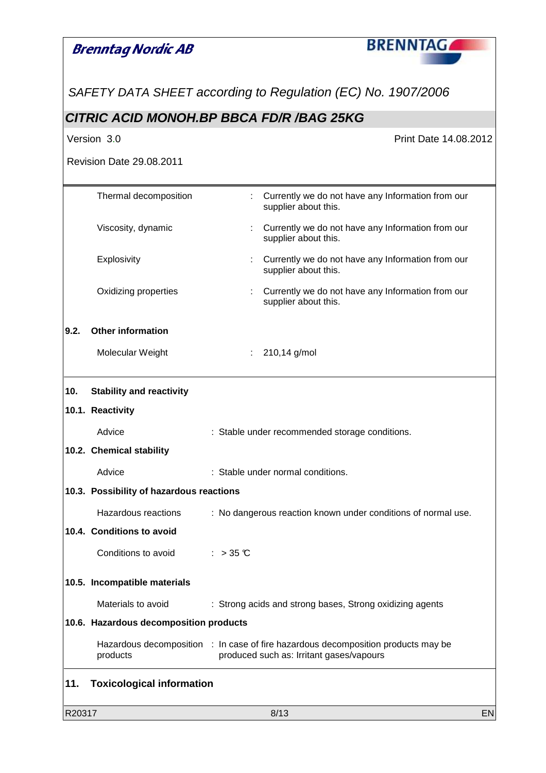|        | <b>Brenntag Nordic AB</b>                | <b>BRENNTAGA</b>                                                                                                              |    |
|--------|------------------------------------------|-------------------------------------------------------------------------------------------------------------------------------|----|
|        |                                          | SAFETY DATA SHEET according to Regulation (EC) No. 1907/2006                                                                  |    |
|        |                                          | <b>CITRIC ACID MONOH.BP BBCA FD/R /BAG 25KG</b>                                                                               |    |
|        | Version 3.0                              | Print Date 14.08.2012                                                                                                         |    |
|        | <b>Revision Date 29.08.2011</b>          |                                                                                                                               |    |
|        | Thermal decomposition                    | Currently we do not have any Information from our<br>÷<br>supplier about this.                                                |    |
|        | Viscosity, dynamic                       | Currently we do not have any Information from our<br>supplier about this.                                                     |    |
|        | Explosivity                              | Currently we do not have any Information from our<br>supplier about this.                                                     |    |
|        | Oxidizing properties                     | Currently we do not have any Information from our<br>supplier about this.                                                     |    |
| 9.2.   | <b>Other information</b>                 |                                                                                                                               |    |
|        | Molecular Weight                         | 210,14 g/mol                                                                                                                  |    |
| 10.    | <b>Stability and reactivity</b>          |                                                                                                                               |    |
|        | 10.1. Reactivity                         |                                                                                                                               |    |
|        | Advice                                   | : Stable under recommended storage conditions.                                                                                |    |
|        | 10.2. Chemical stability                 |                                                                                                                               |    |
|        | Advice                                   | : Stable under normal conditions.                                                                                             |    |
|        | 10.3. Possibility of hazardous reactions |                                                                                                                               |    |
|        | Hazardous reactions                      | : No dangerous reaction known under conditions of normal use.                                                                 |    |
|        | 10.4. Conditions to avoid                |                                                                                                                               |    |
|        | Conditions to avoid                      | : $>35$ C                                                                                                                     |    |
|        | 10.5. Incompatible materials             |                                                                                                                               |    |
|        | Materials to avoid                       | : Strong acids and strong bases, Strong oxidizing agents                                                                      |    |
|        | 10.6. Hazardous decomposition products   |                                                                                                                               |    |
|        | products                                 | Hazardous decomposition : In case of fire hazardous decomposition products may be<br>produced such as: Irritant gases/vapours |    |
| 11.    | <b>Toxicological information</b>         |                                                                                                                               |    |
| R20317 |                                          | 8/13                                                                                                                          | EN |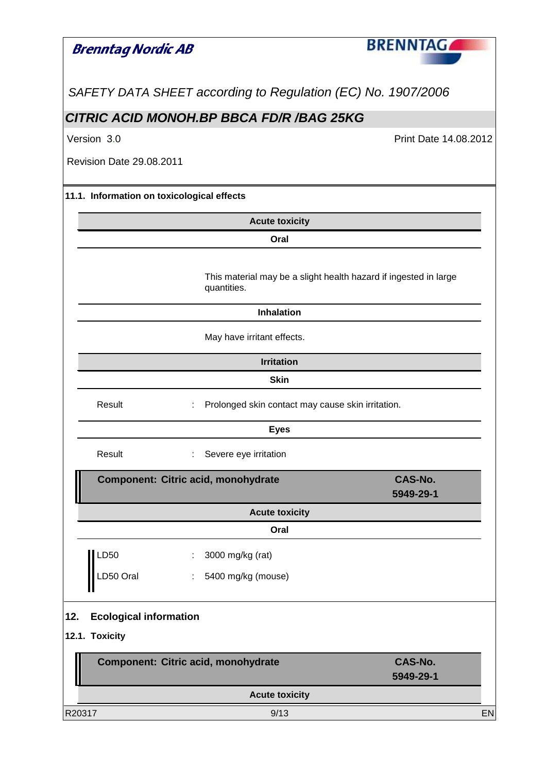| <b>Brenntag Nordic AB</b>                  |                                                                                 | <b>BRENNTAG</b>       |
|--------------------------------------------|---------------------------------------------------------------------------------|-----------------------|
|                                            |                                                                                 |                       |
|                                            | SAFETY DATA SHEET according to Regulation (EC) No. 1907/2006                    |                       |
|                                            | CITRIC ACID MONOH.BP BBCA FD/R /BAG 25KG                                        |                       |
| Version 3.0                                |                                                                                 | Print Date 14.08.2012 |
| <b>Revision Date 29.08.2011</b>            |                                                                                 |                       |
| 11.1. Information on toxicological effects |                                                                                 |                       |
|                                            | <b>Acute toxicity</b>                                                           |                       |
|                                            | Oral                                                                            |                       |
|                                            | This material may be a slight health hazard if ingested in large<br>quantities. |                       |
|                                            | <b>Inhalation</b>                                                               |                       |
|                                            | May have irritant effects.                                                      |                       |
|                                            | <b>Irritation</b>                                                               |                       |
|                                            | <b>Skin</b>                                                                     |                       |
| Result                                     | Prolonged skin contact may cause skin irritation.                               |                       |
|                                            | <b>Eyes</b>                                                                     |                       |
| Result                                     | Severe eye irritation                                                           |                       |
|                                            | Component: Citric acid, monohydrate                                             | <b>CAS-No.</b>        |
|                                            |                                                                                 | 5949-29-1             |
|                                            | <b>Acute toxicity</b>                                                           |                       |
|                                            | Oral                                                                            |                       |
| LD50                                       | 3000 mg/kg (rat)<br>÷.                                                          |                       |
| LD50 Oral                                  | 5400 mg/kg (mouse)<br>÷.                                                        |                       |
| <b>Ecological information</b><br>12.       |                                                                                 |                       |
| 12.1. Toxicity                             |                                                                                 |                       |
|                                            | Component: Citric acid, monohydrate                                             | <b>CAS-No.</b>        |
|                                            |                                                                                 | 5949-29-1             |
|                                            | <b>Acute toxicity</b>                                                           |                       |
| R20317                                     | 9/13                                                                            | EN                    |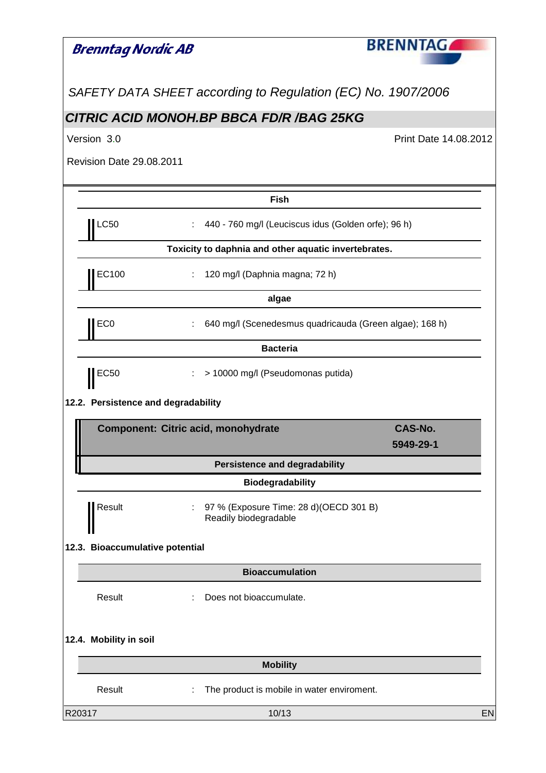| Brenntag Nordic AB                  |                                                                       | <b>BRENNTAG</b>                                         |
|-------------------------------------|-----------------------------------------------------------------------|---------------------------------------------------------|
|                                     | SAFETY DATA SHEET according to Regulation (EC) No. 1907/2006          |                                                         |
|                                     | <b>CITRIC ACID MONOH.BP BBCA FD/R /BAG 25KG</b>                       |                                                         |
| Version 3.0                         |                                                                       | Print Date 14.08.2012                                   |
| <b>Revision Date 29.08.2011</b>     |                                                                       |                                                         |
|                                     | <b>Fish</b>                                                           |                                                         |
| <b>LC50</b>                         | 440 - 760 mg/l (Leuciscus idus (Golden orfe); 96 h)                   |                                                         |
|                                     | Toxicity to daphnia and other aquatic invertebrates.                  |                                                         |
| EC100                               | 120 mg/l (Daphnia magna; 72 h)                                        |                                                         |
|                                     | algae                                                                 |                                                         |
| EC <sub>0</sub>                     |                                                                       | 640 mg/l (Scenedesmus quadricauda (Green algae); 168 h) |
|                                     | <b>Bacteria</b>                                                       |                                                         |
| $\parallel$ EC50                    | > 10000 mg/l (Pseudomonas putida)                                     |                                                         |
| 12.2. Persistence and degradability |                                                                       |                                                         |
|                                     | Component: Citric acid, monohydrate                                   | <b>CAS-No.</b>                                          |
|                                     |                                                                       | 5949-29-1                                               |
|                                     | <b>Persistence and degradability</b><br><b>Biodegradability</b>       |                                                         |
| Result                              | 97 % (Exposure Time: 28 d) (OECD 301 B)<br>÷<br>Readily biodegradable |                                                         |
| 12.3. Bioaccumulative potential     |                                                                       |                                                         |
|                                     | <b>Bioaccumulation</b>                                                |                                                         |
| Result                              | Does not bioaccumulate.                                               |                                                         |
| 12.4. Mobility in soil              |                                                                       |                                                         |
|                                     | <b>Mobility</b>                                                       |                                                         |
| Result                              | The product is mobile in water enviroment.                            |                                                         |
| R20317                              | 10/13                                                                 | EN                                                      |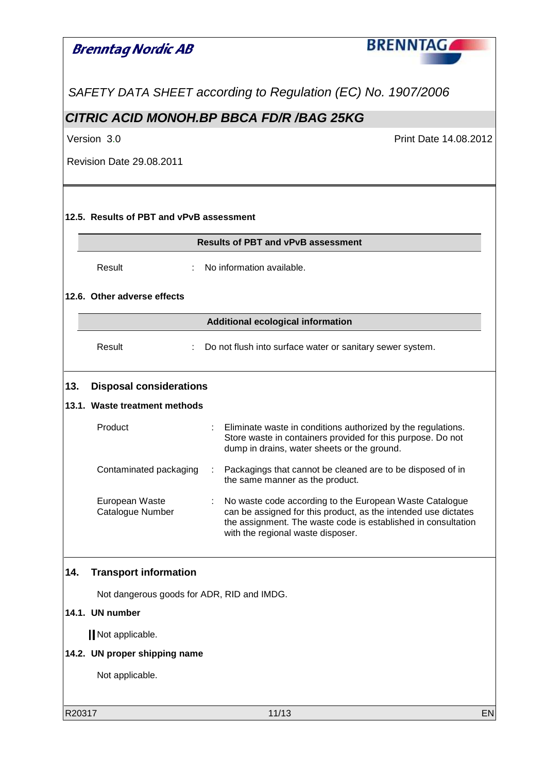## **Brenntag Nordic AB**



SAFETY DATA SHEET according to Regulation (EC) No. 1907/2006

#### **CITRIC ACID MONOH.BP BBCA FD/R /BAG 25KG**

Version 3.0 Print Date 14.08.2012

Revision Date 29.08.2011

#### **12.5. Results of PBT and vPvB assessment**

| <b>Results of PBT and vPvB assessment</b> |  |
|-------------------------------------------|--|
|                                           |  |

Result : No information available.

#### **12.6. Other adverse effects**

#### **Additional ecological information**

Result : Do not flush into surface water or sanitary sewer system.

#### **13. Disposal considerations**

#### **13.1. Waste treatment methods**

| Product                                   | : Eliminate waste in conditions authorized by the regulations.<br>Store waste in containers provided for this purpose. Do not<br>dump in drains, water sheets or the ground.                 |
|-------------------------------------------|----------------------------------------------------------------------------------------------------------------------------------------------------------------------------------------------|
| Contaminated packaging                    | : Packagings that cannot be cleaned are to be disposed of in<br>the same manner as the product.                                                                                              |
| European Waste<br><b>Catalogue Number</b> | : No waste code according to the European Waste Catalogue<br>can be assigned for this product, as the intended use dictates<br>the assignment. The waste code is established in consultation |

with the regional waste disposer.

#### **14. Transport information**

Not dangerous goods for ADR, RID and IMDG.

#### **14.1. UN number**

Not applicable.

#### **14.2. UN proper shipping name**

Not applicable.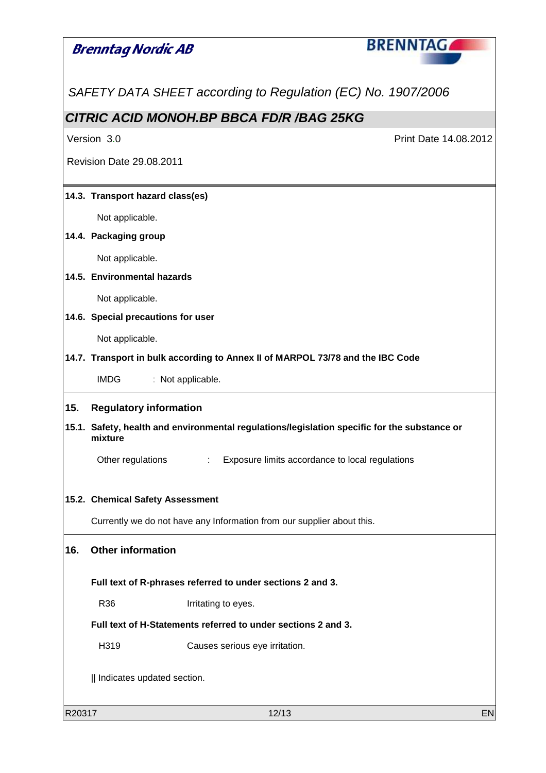# **BRENNTAG Brenntag Nordic AB** SAFETY DATA SHEET according to Regulation (EC) No. 1907/2006 **CITRIC ACID MONOH.BP BBCA FD/R /BAG 25KG** Version 3.0 Print Date 14.08.2012 Revision Date 29.08.2011 **14.3. Transport hazard class(es)**  Not applicable. **14.4. Packaging group**  Not applicable. **14.5. Environmental hazards**  Not applicable. **14.6. Special precautions for user**  Not applicable. **14.7. Transport in bulk according to Annex II of MARPOL 73/78 and the IBC Code**  IMDG : Not applicable. **15. Regulatory information 15.1. Safety, health and environmental regulations/legislation specific for the substance or mixture**  Other regulations : Exposure limits accordance to local regulations **15.2. Chemical Safety Assessment**  Currently we do not have any Information from our supplier about this. **16. Other information Full text of R-phrases referred to under sections 2 and 3.**  R36 Irritating to eyes. **Full text of H-Statements referred to under sections 2 and 3.**  H319 Causes serious eye irritation. || Indicates updated section.